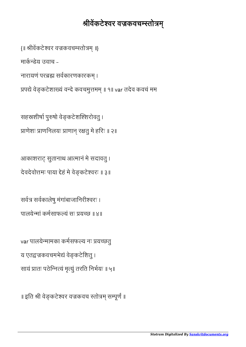॥ इति श्री वेङ्कटेश्वर वज्रकवच स्तोत्रम् सम्पूर्णं ॥

var पालयेमामका कमसफय नः यछतु य एतद्वज्रकवचमभेद्यं वेङ्कटेशितु । सायं प्रातः पठेन्नित्यं मृत्यूं तरति निर्भयः ॥ ५॥

सर्वत्र सर्वकालेषु मंगांबाजानिरीश्वरः । पालयेमां कमसाफयं सः यछ ॥ ४॥

आकाशराट् सुतानाथ आत्मानं मे सदावतु । देवदेवोत्तमः पाया देहं मे वेङ्कटेश्वरः ॥ ३॥

सहस्रशीर्षा पुरुषो वेङ्कटेशश्शिरोवतु । प्राणेशः प्राणनिलयः प्राणान् रक्षतु मे हरिः ॥ २॥

नारायणं परब्रह्म सर्वकारणकारकम् । प्रपद्ये वेङ्कटेशाख्यं वन्दे कवचमुत्तमम् ॥ १॥ var तदेव कवचं मम

मार्कन्त्देय उवाच -

{॥ श्रीवेंकटेश्वर वज्रकवचम्स्तोत्रम् ॥}

## श्रीवेंकटेश्वर वज्रकवचम्स्तोत्रम्